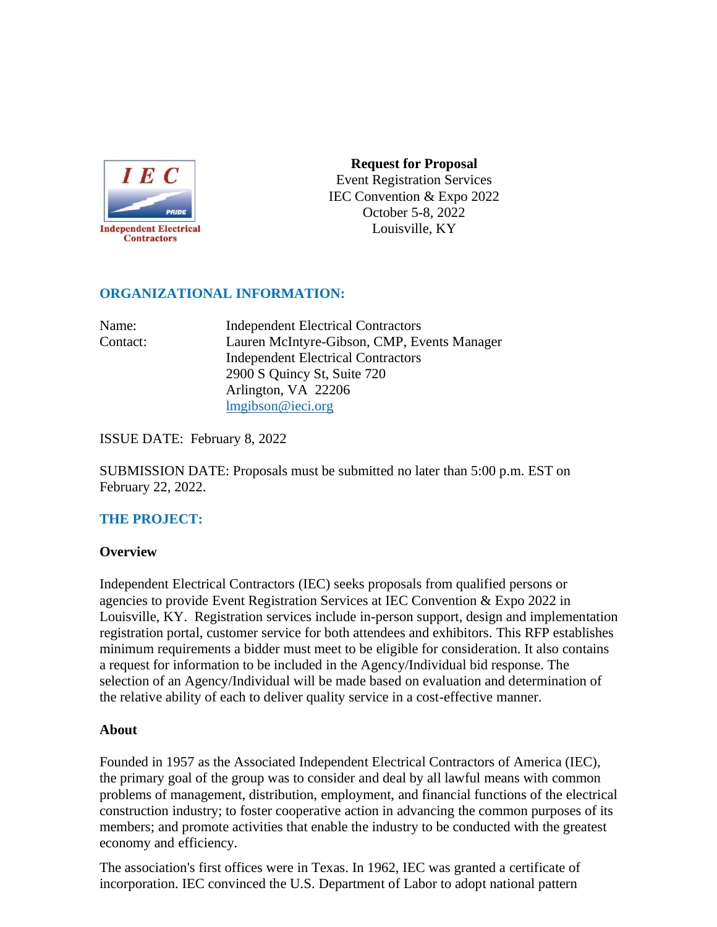

**Request for Proposal**  Event Registration Services IEC Convention & Expo 2022 October 5-8, 2022 Louisville, KY

## **ORGANIZATIONAL INFORMATION:**

| Name:    | <b>Independent Electrical Contractors</b>   |
|----------|---------------------------------------------|
| Contact: | Lauren McIntyre-Gibson, CMP, Events Manager |
|          | <b>Independent Electrical Contractors</b>   |
|          | 2900 S Quincy St, Suite 720                 |
|          | Arlington, VA 22206                         |
|          | lmgibson@ieci.org                           |

ISSUE DATE: February 8, 2022

SUBMISSION DATE: Proposals must be submitted no later than 5:00 p.m. EST on February 22, 2022.

## **THE PROJECT:**

#### **Overview**

Independent Electrical Contractors (IEC) seeks proposals from qualified persons or agencies to provide Event Registration Services at IEC Convention & Expo 2022 in Louisville, KY. Registration services include in-person support, design and implementation registration portal, customer service for both attendees and exhibitors. This RFP establishes minimum requirements a bidder must meet to be eligible for consideration. It also contains a request for information to be included in the Agency/Individual bid response. The selection of an Agency/Individual will be made based on evaluation and determination of the relative ability of each to deliver quality service in a cost-effective manner.

#### **About**

Founded in 1957 as the Associated Independent Electrical Contractors of America (IEC), the primary goal of the group was to consider and deal by all lawful means with common problems of management, distribution, employment, and financial functions of the electrical construction industry; to foster cooperative action in advancing the common purposes of its members; and promote activities that enable the industry to be conducted with the greatest economy and efficiency.

The association's first offices were in Texas. In 1962, IEC was granted a certificate of incorporation. IEC convinced the U.S. Department of Labor to adopt national pattern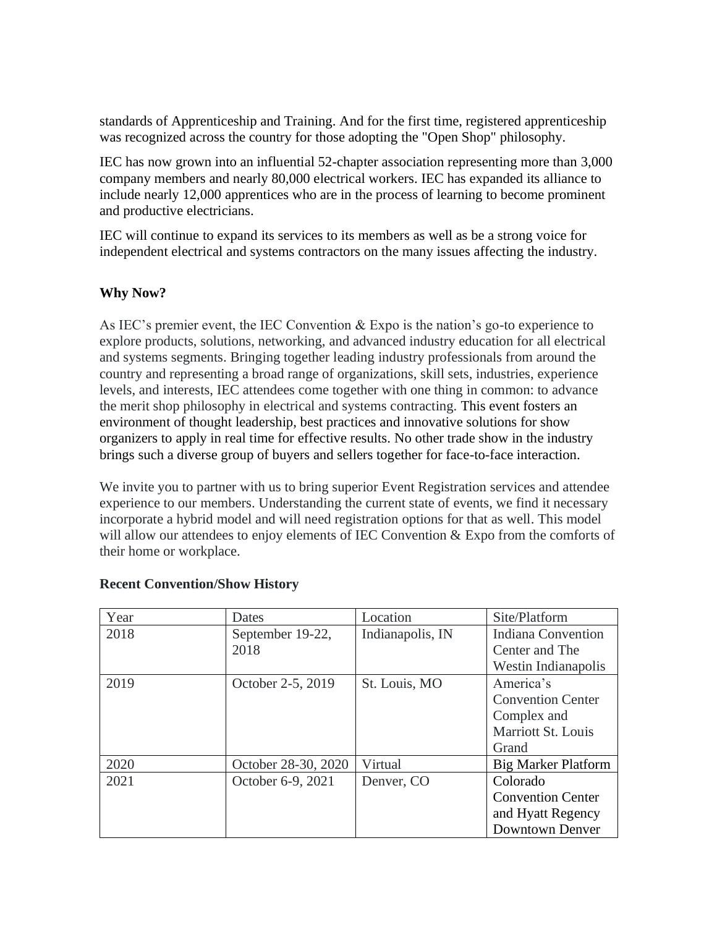standards of Apprenticeship and Training. And for the first time, registered apprenticeship was recognized across the country for those adopting the "Open Shop" philosophy.

IEC has now grown into an influential 52-chapter association representing more than 3,000 company members and nearly 80,000 electrical workers. IEC has expanded its alliance to include nearly 12,000 apprentices who are in the process of learning to become prominent and productive electricians.

IEC will continue to expand its services to its members as well as be a strong voice for independent electrical and systems contractors on the many issues affecting the industry.

## **Why Now?**

As IEC's premier event, the IEC Convention & Expo is the nation's go-to experience to explore products, solutions, networking, and advanced industry education for all electrical and systems segments. Bringing together leading industry professionals from around the country and representing a broad range of organizations, skill sets, industries, experience levels, and interests, IEC attendees come together with one thing in common: to advance the merit shop philosophy in electrical and systems contracting. This event fosters an environment of thought leadership, best practices and innovative solutions for show organizers to apply in real time for effective results. No other trade show in the industry brings such a diverse group of buyers and sellers together for face-to-face interaction.

We invite you to partner with us to bring superior Event Registration services and attendee experience to our members. Understanding the current state of events, we find it necessary incorporate a hybrid model and will need registration options for that as well. This model will allow our attendees to enjoy elements of IEC Convention & Expo from the comforts of their home or workplace.

| Year | Dates               | Location         | Site/Platform              |
|------|---------------------|------------------|----------------------------|
| 2018 | September 19-22,    | Indianapolis, IN | Indiana Convention         |
|      | 2018                |                  | Center and The             |
|      |                     |                  | Westin Indianapolis        |
| 2019 | October 2-5, 2019   | St. Louis, MO    | America's                  |
|      |                     |                  | <b>Convention Center</b>   |
|      |                     |                  | Complex and                |
|      |                     |                  | Marriott St. Louis         |
|      |                     |                  | Grand                      |
| 2020 | October 28-30, 2020 | Virtual          | <b>Big Marker Platform</b> |
| 2021 | October 6-9, 2021   | Denver, CO       | Colorado                   |
|      |                     |                  | <b>Convention Center</b>   |
|      |                     |                  | and Hyatt Regency          |
|      |                     |                  | Downtown Denver            |

#### **Recent Convention/Show History**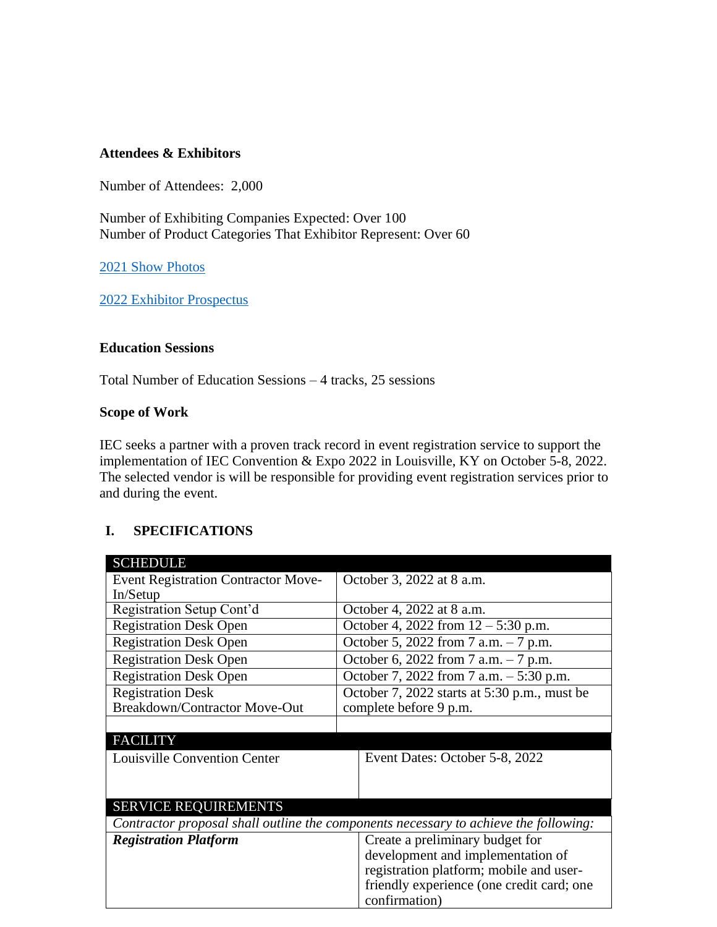### **Attendees & Exhibitors**

Number of Attendees: 2,000

Number of Exhibiting Companies Expected: Over 100 Number of Product Categories That Exhibitor Represent: Over 60

[2021 Show Photos](https://www.flickr.com/photos/iecnational/sets/72157720019718494/)

[2022 Exhibitor Prospectus](file:///C:/Users/VictoriaKirkland(IG)/Downloads/2022%20IEC%20Convention%20+%20Expo%20Prospectus.pdf)

#### **Education Sessions**

Total Number of Education Sessions – 4 tracks, 25 sessions

#### **Scope of Work**

IEC seeks a partner with a proven track record in event registration service to support the implementation of IEC Convention & Expo 2022 in Louisville, KY on October 5-8, 2022. The selected vendor is will be responsible for providing event registration services prior to and during the event.

#### **I. SPECIFICATIONS**

| <b>SCHEDULE</b>                                                                      |                                              |  |  |  |
|--------------------------------------------------------------------------------------|----------------------------------------------|--|--|--|
| <b>Event Registration Contractor Move-</b>                                           | October 3, 2022 at 8 a.m.                    |  |  |  |
| In/Setup                                                                             |                                              |  |  |  |
| Registration Setup Cont'd                                                            | October 4, 2022 at 8 a.m.                    |  |  |  |
| <b>Registration Desk Open</b>                                                        | October 4, 2022 from $12 - 5:30$ p.m.        |  |  |  |
| <b>Registration Desk Open</b>                                                        | October 5, 2022 from 7 a.m. - 7 p.m.         |  |  |  |
| <b>Registration Desk Open</b>                                                        | October 6, 2022 from 7 a.m. $-7$ p.m.        |  |  |  |
| <b>Registration Desk Open</b>                                                        | October 7, 2022 from 7 a.m. $-5:30$ p.m.     |  |  |  |
| <b>Registration Desk</b>                                                             | October 7, 2022 starts at 5:30 p.m., must be |  |  |  |
| Breakdown/Contractor Move-Out                                                        | complete before 9 p.m.                       |  |  |  |
|                                                                                      |                                              |  |  |  |
| <b>FACILITY</b>                                                                      |                                              |  |  |  |
| <b>Louisville Convention Center</b>                                                  | Event Dates: October 5-8, 2022               |  |  |  |
|                                                                                      |                                              |  |  |  |
|                                                                                      |                                              |  |  |  |
| <b>SERVICE REQUIREMENTS</b>                                                          |                                              |  |  |  |
| Contractor proposal shall outline the components necessary to achieve the following: |                                              |  |  |  |
| <b>Registration Platform</b>                                                         | Create a preliminary budget for              |  |  |  |
|                                                                                      | development and implementation of            |  |  |  |
|                                                                                      | registration platform; mobile and user-      |  |  |  |
|                                                                                      | friendly experience (one credit card; one    |  |  |  |
|                                                                                      | confirmation)                                |  |  |  |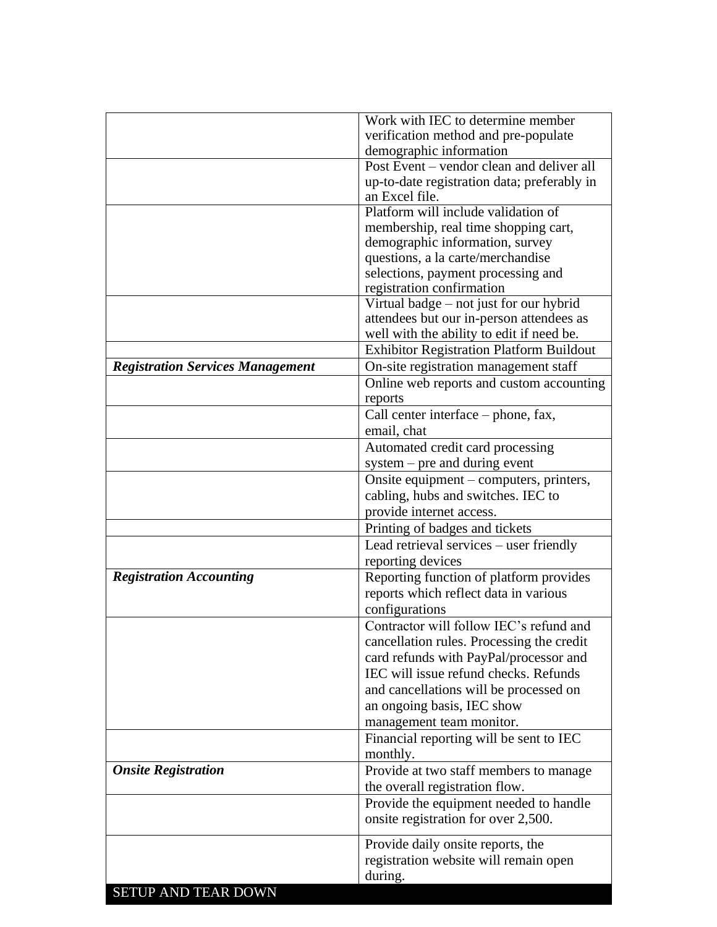|                                         | Work with IEC to determine member               |
|-----------------------------------------|-------------------------------------------------|
|                                         | verification method and pre-populate            |
|                                         | demographic information                         |
|                                         | Post Event – vendor clean and deliver all       |
|                                         | up-to-date registration data; preferably in     |
|                                         | an Excel file.                                  |
|                                         | Platform will include validation of             |
|                                         | membership, real time shopping cart,            |
|                                         | demographic information, survey                 |
|                                         | questions, a la carte/merchandise               |
|                                         | selections, payment processing and              |
|                                         | registration confirmation                       |
|                                         | Virtual badge - not just for our hybrid         |
|                                         | attendees but our in-person attendees as        |
|                                         | well with the ability to edit if need be.       |
|                                         | <b>Exhibitor Registration Platform Buildout</b> |
| <b>Registration Services Management</b> | On-site registration management staff           |
|                                         | Online web reports and custom accounting        |
|                                         | reports                                         |
|                                         | Call center interface – phone, fax,             |
|                                         | email, chat                                     |
|                                         | Automated credit card processing                |
|                                         | system $-$ pre and during event                 |
|                                         | Onsite equipment – computers, printers,         |
|                                         | cabling, hubs and switches. IEC to              |
|                                         | provide internet access.                        |
|                                         | Printing of badges and tickets                  |
|                                         | Lead retrieval services - user friendly         |
|                                         | reporting devices                               |
| <b>Registration Accounting</b>          |                                                 |
|                                         | Reporting function of platform provides         |
|                                         | reports which reflect data in various           |
|                                         | configurations                                  |
|                                         | Contractor will follow IEC's refund and         |
|                                         | cancellation rules. Processing the credit       |
|                                         | card refunds with PayPal/processor and          |
|                                         | IEC will issue refund checks. Refunds           |
|                                         | and cancellations will be processed on          |
|                                         | an ongoing basis, IEC show                      |
|                                         | management team monitor.                        |
|                                         | Financial reporting will be sent to IEC         |
|                                         | monthly.                                        |
| <b>Onsite Registration</b>              | Provide at two staff members to manage          |
|                                         | the overall registration flow.                  |
|                                         | Provide the equipment needed to handle          |
|                                         | onsite registration for over 2,500.             |
|                                         |                                                 |
|                                         | Provide daily onsite reports, the               |
|                                         | registration website will remain open           |
|                                         | during.                                         |
| SETUP AND TEAR DOWN                     |                                                 |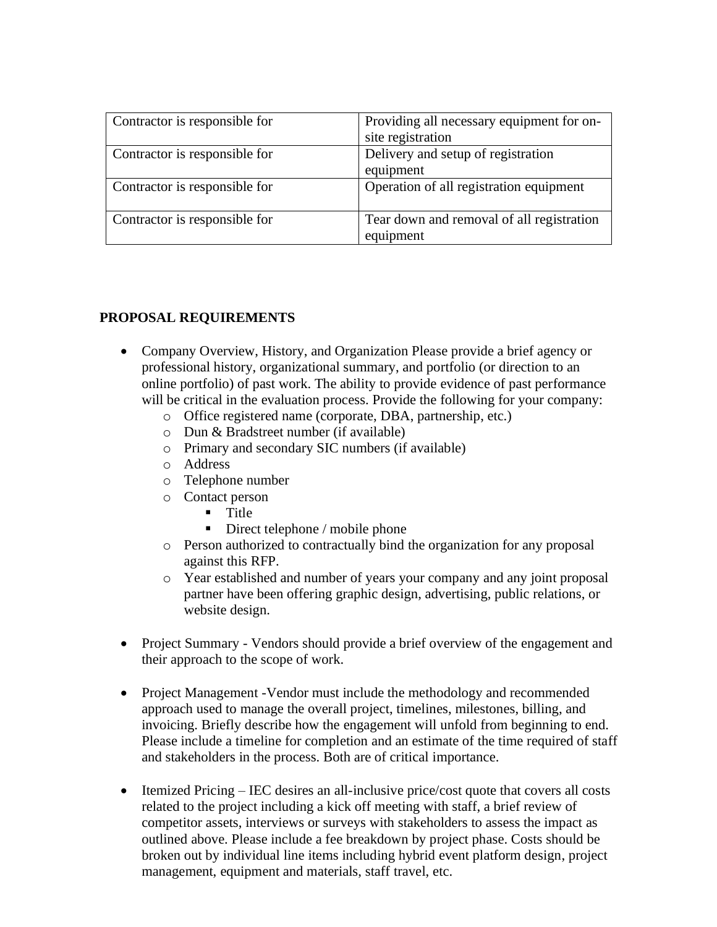| Contractor is responsible for | Providing all necessary equipment for on-<br>site registration |
|-------------------------------|----------------------------------------------------------------|
| Contractor is responsible for | Delivery and setup of registration<br>equipment                |
| Contractor is responsible for | Operation of all registration equipment                        |
| Contractor is responsible for | Tear down and removal of all registration<br>equipment         |

# **PROPOSAL REQUIREMENTS**

- Company Overview, History, and Organization Please provide a brief agency or professional history, organizational summary, and portfolio (or direction to an online portfolio) of past work. The ability to provide evidence of past performance will be critical in the evaluation process. Provide the following for your company:
	- o Office registered name (corporate, DBA, partnership, etc.)
	- o Dun & Bradstreet number (if available)
	- o Primary and secondary SIC numbers (if available)
	- o Address
	- o Telephone number
	- o Contact person
		- Title
		- $\blacksquare$  Direct telephone / mobile phone
	- o Person authorized to contractually bind the organization for any proposal against this RFP.
	- o Year established and number of years your company and any joint proposal partner have been offering graphic design, advertising, public relations, or website design.
- Project Summary Vendors should provide a brief overview of the engagement and their approach to the scope of work.
- Project Management -Vendor must include the methodology and recommended approach used to manage the overall project, timelines, milestones, billing, and invoicing. Briefly describe how the engagement will unfold from beginning to end. Please include a timeline for completion and an estimate of the time required of staff and stakeholders in the process. Both are of critical importance.
- Itemized Pricing IEC desires an all-inclusive price/cost quote that covers all costs related to the project including a kick off meeting with staff, a brief review of competitor assets, interviews or surveys with stakeholders to assess the impact as outlined above. Please include a fee breakdown by project phase. Costs should be broken out by individual line items including hybrid event platform design, project management, equipment and materials, staff travel, etc.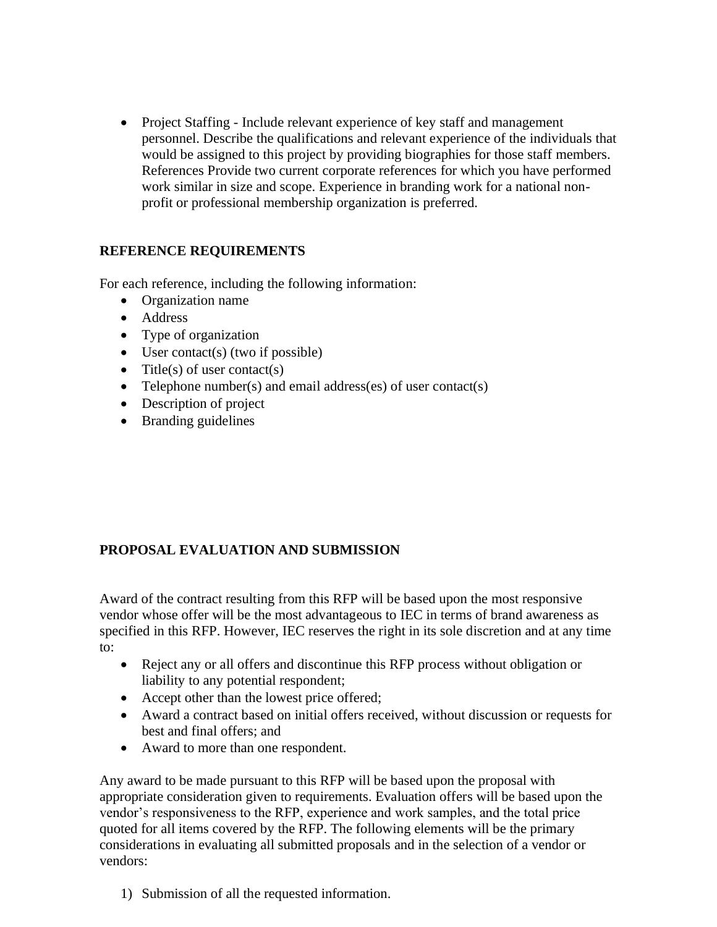• Project Staffing - Include relevant experience of key staff and management personnel. Describe the qualifications and relevant experience of the individuals that would be assigned to this project by providing biographies for those staff members. References Provide two current corporate references for which you have performed work similar in size and scope. Experience in branding work for a national nonprofit or professional membership organization is preferred.

# **REFERENCE REQUIREMENTS**

For each reference, including the following information:

- Organization name
- Address
- Type of organization
- User contact(s) (two if possible)
- Title(s) of user contact(s)
- Telephone number(s) and email address(es) of user contact(s)
- Description of project
- Branding guidelines

## **PROPOSAL EVALUATION AND SUBMISSION**

Award of the contract resulting from this RFP will be based upon the most responsive vendor whose offer will be the most advantageous to IEC in terms of brand awareness as specified in this RFP. However, IEC reserves the right in its sole discretion and at any time to:

- Reject any or all offers and discontinue this RFP process without obligation or liability to any potential respondent;
- Accept other than the lowest price offered;
- Award a contract based on initial offers received, without discussion or requests for best and final offers; and
- Award to more than one respondent.

Any award to be made pursuant to this RFP will be based upon the proposal with appropriate consideration given to requirements. Evaluation offers will be based upon the vendor's responsiveness to the RFP, experience and work samples, and the total price quoted for all items covered by the RFP. The following elements will be the primary considerations in evaluating all submitted proposals and in the selection of a vendor or vendors:

1) Submission of all the requested information.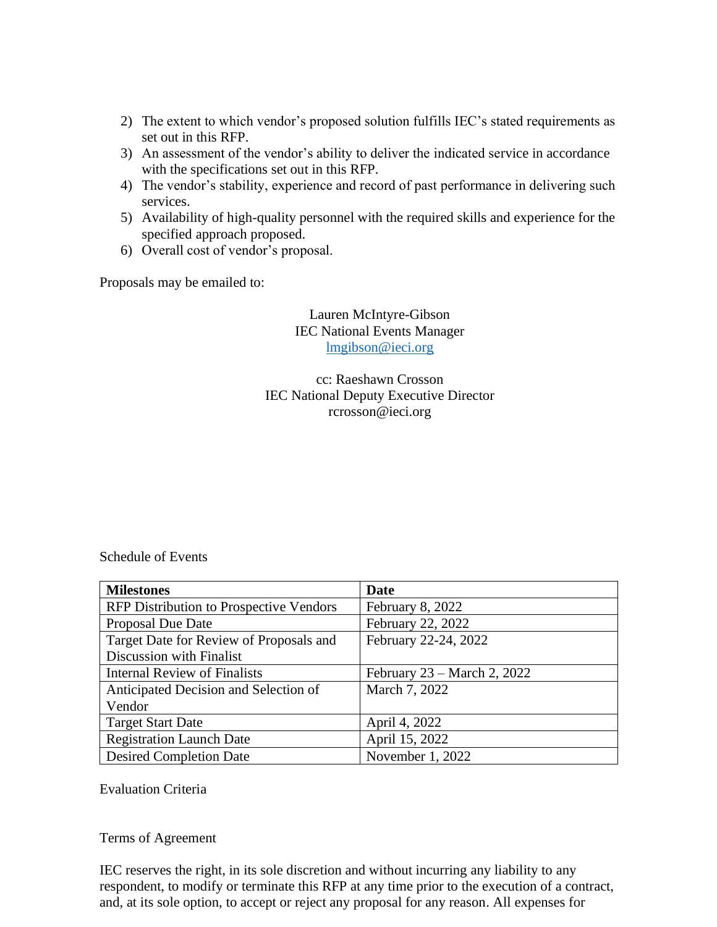- 2) The extent to which vendor's proposed solution fulfills IEC's stated requirements as set out in this RFP.
- 3) An assessment of the vendor's ability to deliver the indicated service in accordance with the specifications set out in this RFP.
- 4) The vendor's stability, experience and record of past performance in delivering such services.
- 5) Availability of high-quality personnel with the required skills and experience for the specified approach proposed.
- 6) Overall cost of vendor's proposal.

Proposals may be emailed to:

Lauren McIntyre-Gibson IEC National Events Manager [lmgibson@ieci.org](mailto:lmgibson@ieci.org)

cc: Raeshawn Crosson IEC National Deputy Executive Director rcrosson@ieci.org

Schedule of Events

| <b>Milestones</b>                              | <b>Date</b>                   |
|------------------------------------------------|-------------------------------|
| <b>RFP Distribution to Prospective Vendors</b> | <b>February 8, 2022</b>       |
| <b>Proposal Due Date</b>                       | February 22, 2022             |
| Target Date for Review of Proposals and        | February 22-24, 2022          |
| Discussion with Finalist                       |                               |
| <b>Internal Review of Finalists</b>            | February $23$ – March 2, 2022 |
| Anticipated Decision and Selection of          | March 7, 2022                 |
| Vendor                                         |                               |
| <b>Target Start Date</b>                       | April 4, 2022                 |
| <b>Registration Launch Date</b>                | April 15, 2022                |
| <b>Desired Completion Date</b>                 | November 1, 2022              |

Evaluation Criteria

#### Terms of Agreement

IEC reserves the right, in its sole discretion and without incurring any liability to any respondent, to modify or terminate this RFP at any time prior to the execution of a contract, and, at its sole option, to accept or reject any proposal for any reason. All expenses for